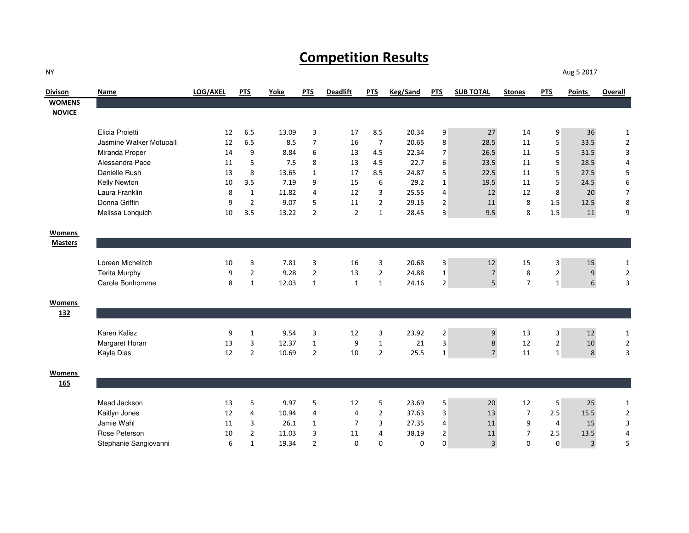## **Competition Results**

**Divison Name LOG/AXEL PTS Yoke PTS Deadlift PTS Keg/Sand PTS SUB TOTAL Stones PTS Points Overall WOMENS NOVICE**Elicia Proietti $\frac{1}{2}$  i 6.5 13.09 <sup>3</sup> <sup>17</sup> 8.5 20.34 <sup>9</sup> <sup>27</sup> <sup>14</sup> <sup>9</sup> <sup>36</sup> <sup>1</sup> Jasmine Walker Motupalli 12 6.5 8.5 <sup>7</sup> <sup>16</sup> <sup>7</sup> 20.65 <sup>8</sup> 28.5 <sup>11</sup> <sup>5</sup> 33.5 <sup>2</sup> Miranda Properr  $14$  <sup>9</sup> 8.84 <sup>6</sup> <sup>13</sup> 4.5 22.34 <sup>7</sup> 26.5 <sup>11</sup> <sup>5</sup> 31.5 <sup>3</sup> Alessandra Pace <sup>11</sup> <sup>5</sup> 7.5 <sup>8</sup> <sup>13</sup> 4.5 22.7 <sup>6</sup> 23.5 <sup>11</sup> <sup>5</sup> 28.5 <sup>4</sup> Danielle Rush <sup>13</sup> <sup>8</sup> 13.65 <sup>1</sup> <sup>17</sup> 8.5 24.87 <sup>5</sup> 22.5 <sup>11</sup> <sup>5</sup> 27.5 <sup>5</sup> Kelly Newtonn 10 3.5 7.19 9 15 6 29.2 1 19.5 11 5 24.5 6 Laura Franklin <sup>8</sup> <sup>1</sup> 11.82 <sup>4</sup> <sup>12</sup> <sup>3</sup> 25.55 <sup>4</sup> <sup>12</sup> <sup>12</sup> <sup>8</sup> <sup>20</sup> <sup>7</sup> Donna Griffin <sup>9</sup> <sup>2</sup> 9.07 <sup>5</sup> <sup>11</sup> <sup>2</sup> 29.15 <sup>2</sup> <sup>11</sup> <sup>8</sup> 1.5 12.5 <sup>8</sup> Melissa Lonquichh 10 3.5 13.22 2 2 1 28.45 3 9.5 8 1.5 11 9 **Womens Masters**Loreen Michelitchh 10 3 7.81 3 16 3 20.68 3 12 15 3 15 1 Terita Murphyy 9 <sup>2</sup> 9.28 <sup>2</sup> <sup>13</sup> <sup>2</sup> 24.88 <sup>1</sup> <sup>7</sup> <sup>8</sup> <sup>2</sup> <sup>9</sup> <sup>2</sup> Carole Bonhomme <sup>8</sup> <sup>1</sup> 12.03 <sup>1</sup> <sup>1</sup> <sup>1</sup> 24.16 <sup>2</sup> <sup>5</sup> <sup>7</sup> <sup>1</sup> <sup>6</sup> <sup>3</sup> **Womens 132**Karen Kaliszz 9 <sup>1</sup> 9.54 <sup>3</sup> <sup>12</sup> <sup>3</sup> 23.92 <sup>2</sup> <sup>9</sup> <sup>13</sup> <sup>3</sup> <sup>12</sup> <sup>1</sup> Margaret Horann 13 3 12.37 1 9 1 21 3 8 12 2 10 2 Kayla Dias $\sim$  12 2 2 10.69 2 10 2 25.5 1 7 11 1 8 3 **Womens 165**Mead Jackson <sup>13</sup> <sup>5</sup> 9.97 <sup>5</sup> <sup>12</sup> <sup>5</sup> 23.69 <sup>5</sup> <sup>20</sup> <sup>12</sup> <sup>5</sup> <sup>25</sup> <sup>1</sup> Kaitlyn Joness  $12$ 2 4 10.94 4 4 2 37.63 3 13 7 2.5 15.5 2 Jamie Wahl $\frac{1}{11}$  <sup>3</sup> 26.1 <sup>1</sup> <sup>7</sup> <sup>3</sup> 27.35 <sup>4</sup> <sup>11</sup> <sup>9</sup> <sup>4</sup> <sup>15</sup> <sup>3</sup> Rose Peterson <sup>10</sup> <sup>2</sup> 11.03 <sup>3</sup> <sup>11</sup> <sup>4</sup> 38.19 <sup>2</sup> <sup>11</sup> <sup>7</sup> 2.5 13.5 <sup>4</sup> Stephanie Sangiovannii 6 <sup>1</sup> 19.34 <sup>2</sup> <sup>0</sup> <sup>0</sup> <sup>0</sup> <sup>0</sup> <sup>3</sup> <sup>0</sup> <sup>0</sup> <sup>3</sup> <sup>5</sup>

Aug 5 2017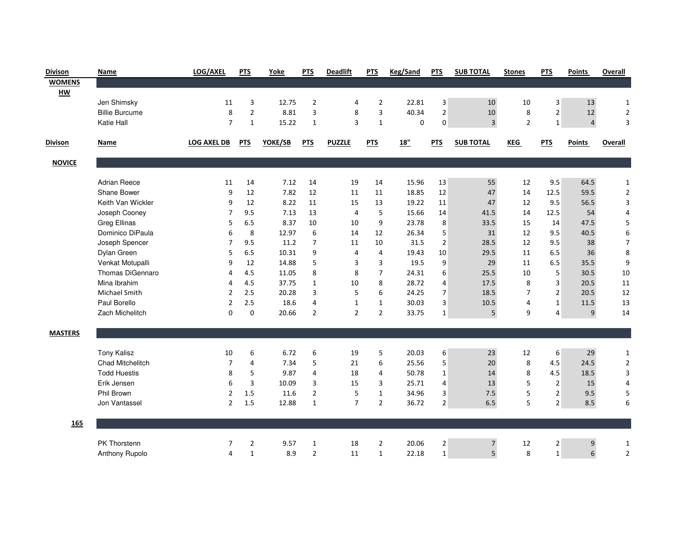| <b>Divison</b> | Name                  | LOG/AXEL           | <b>PTS</b>     | Yoke    | <b>PTS</b>     | <b>Deadlift</b> | <b>PTS</b>     | <b>Keg/Sand</b> | <b>PTS</b>     | <b>SUB TOTAL</b> | <b>Stones</b>  | <b>PTS</b>     | <b>Points</b>  | Overall        |
|----------------|-----------------------|--------------------|----------------|---------|----------------|-----------------|----------------|-----------------|----------------|------------------|----------------|----------------|----------------|----------------|
| <b>WOMENS</b>  |                       |                    |                |         |                |                 |                |                 |                |                  |                |                |                |                |
| HW             |                       |                    |                |         |                |                 |                |                 |                |                  |                |                |                |                |
|                | Jen Shimsky           | 11                 | 3              | 12.75   | $\overline{2}$ | 4               | $\overline{2}$ | 22.81           | 3              | 10               | 10             | 3              | 13             | $\mathbf{1}$   |
|                | <b>Billie Burcume</b> | 8                  | $\overline{2}$ | 8.81    | 3              | 8               | 3              | 40.34           | $\overline{2}$ | 10               | 8              | $\overline{2}$ | 12             | $\overline{2}$ |
|                | Katie Hall            | $\overline{7}$     | $\mathbf{1}$   | 15.22   | $\mathbf{1}$   | 3               | $\mathbf{1}$   | 0               | $\Omega$       | $\overline{3}$   | $\overline{2}$ | $\mathbf{1}$   | $\overline{4}$ | 3              |
| <b>Divison</b> | Name                  | <b>LOG AXEL DB</b> | <b>PTS</b>     | YOKE/SB | <b>PTS</b>     | <b>PUZZLE</b>   | <b>PTS</b>     | 18"             | <b>PTS</b>     | <b>SUB TOTAL</b> | KEG            | <b>PTS</b>     | <b>Points</b>  | <b>Overall</b> |
| <b>NOVICE</b>  |                       |                    |                |         |                |                 |                |                 |                |                  |                |                |                |                |
|                | <b>Adrian Reece</b>   | 11                 | 14             | 7.12    | 14             | 19              | 14             | 15.96           | 13             | 55               | 12             | 9.5            | 64.5           | $\mathbf{1}$   |
|                | Shane Bower           | 9                  | 12             | 7.82    | 12             | 11              | 11             | 18.85           | 12             | 47               | 14             | 12.5           | 59.5           | $\overline{2}$ |
|                | Keith Van Wickler     | 9                  | 12             | 8.22    | 11             | 15              | 13             | 19.22           | 11             | 47               | 12             | 9.5            | 56.5           | 3              |
|                | Joseph Cooney         | $\overline{7}$     | 9.5            | 7.13    | 13             | 4               | 5              | 15.66           | 14             | 41.5             | 14             | 12.5           | 54             | 4              |
|                | <b>Greg Ellinas</b>   | 5                  | 6.5            | 8.37    | 10             | 10              | 9              | 23.78           | 8              | 33.5             | 15             | 14             | 47.5           | 5              |
|                | Dominico DiPaula      | 6                  | 8              | 12.97   | 6              | 14              | 12             | 26.34           | 5              | 31               | 12             | 9.5            | 40.5           | 6              |
|                | Joseph Spencer        | $\overline{7}$     | 9.5            | 11.2    | $\overline{7}$ | 11              | 10             | 31.5            | $\overline{2}$ | 28.5             | 12             | 9.5            | 38             | $\overline{7}$ |
|                | Dylan Green           | 5                  | 6.5            | 10.31   | 9              | 4               | $\overline{4}$ | 19.43           | 10             | 29.5             | 11             | 6.5            | 36             | 8              |
|                | Venkat Motupalli      | 9                  | 12             | 14.88   | 5              | 3               | 3              | 19.5            | 9              | 29               | 11             | 6.5            | 35.5           | 9              |
|                | Thomas DiGennaro      | 4                  | 4.5            | 11.05   | 8              | 8               | $\overline{7}$ | 24.31           | 6              | 25.5             | 10             | 5              | 30.5           | $10\,$         |
|                | Mina Ibrahim          | $\overline{4}$     | 4.5            | 37.75   | $\mathbf{1}$   | 10              | 8              | 28.72           | $\overline{4}$ | 17.5             | 8              | 3              | 20.5           | 11             |
|                | <b>Michael Smith</b>  | $\overline{2}$     | 2.5            | 20.28   | 3              | 5               | 6              | 24.25           | $\overline{7}$ | 18.5             | $\overline{7}$ | $\overline{2}$ | 20.5           | 12             |
|                | Paul Borello          | $\overline{2}$     | 2.5            | 18.6    | $\overline{4}$ | $\mathbf{1}$    | $\mathbf{1}$   | 30.03           | 3              | 10.5             | 4              | $\mathbf{1}$   | 11.5           | 13             |
|                | Zach Michelitch       | $\Omega$           | $\Omega$       | 20.66   | $\overline{2}$ | $\overline{2}$  | $\overline{2}$ | 33.75           | $\mathbf{1}$   | 5                | 9              | 4              | 9              | 14             |
| <b>MASTERS</b> |                       |                    |                |         |                |                 |                |                 |                |                  |                |                |                |                |
|                | <b>Tony Kalisz</b>    | 10                 | 6              | 6.72    | 6              | 19              | 5              | 20.03           | 6              | 23               | 12             | 6              | 29             | $\mathbf{1}$   |
|                | Chad Mitchelitch      | $\overline{7}$     | $\overline{4}$ | 7.34    | 5              | 21              | 6              | 25.56           | 5              | 20               | 8              | 4.5            | 24.5           | $\overline{2}$ |
|                | <b>Todd Huestis</b>   | 8                  | 5              | 9.87    | $\overline{4}$ | 18              | 4              | 50.78           | $\mathbf{1}$   | 14               | 8              | 4.5            | 18.5           | 3              |
|                | Erik Jensen           | 6                  | 3              | 10.09   | 3              | 15              | 3              | 25.71           | $\overline{4}$ | 13               | 5              | $\overline{2}$ | 15             | $\overline{4}$ |
|                | <b>Phil Brown</b>     | $\overline{2}$     | 1.5            | 11.6    | $\overline{2}$ | 5               | $\mathbf{1}$   | 34.96           | 3              | 7.5              | 5              | $\overline{2}$ | 9.5            | 5              |
|                | Jon Vantassel         | $\overline{2}$     | 1.5            | 12.88   | $\mathbf{1}$   | $\overline{7}$  | $\overline{2}$ | 36.72           | $\overline{2}$ | $6.5\,$          | 5              | $\overline{2}$ | 8.5            | 6              |
| 165            |                       |                    |                |         |                |                 |                |                 |                |                  |                |                |                |                |
|                | PK Thorstenn          | 7                  | $\overline{2}$ | 9.57    | $\mathbf{1}$   | 18              | $\overline{2}$ | 20.06           | $\overline{2}$ | $\overline{7}$   | 12             | 2              | 9              | $\mathbf{1}$   |
|                | Anthony Rupolo        | $\overline{a}$     | $\mathbf{1}$   | 8.9     | $\overline{2}$ | 11              | $\mathbf{1}$   | 22.18           | $\mathbf{1}$   | 5 <sup>1</sup>   | 8              | $\mathbf{1}$   | 6              | $\overline{2}$ |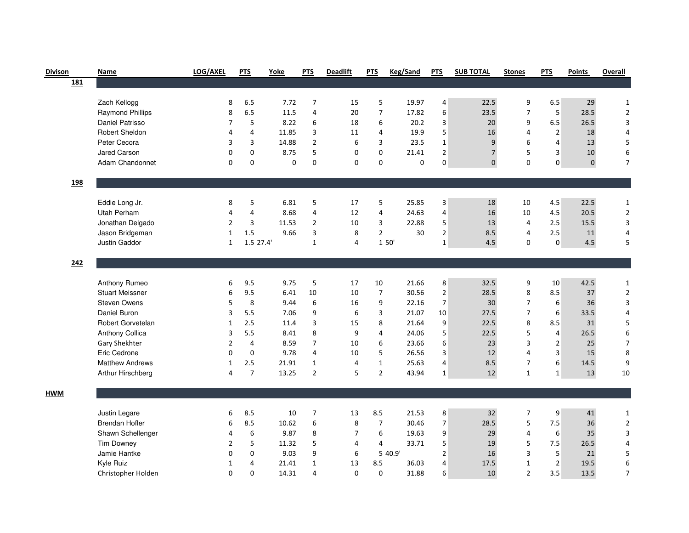| <b>Divison</b> | Name                    | LOG/AXEL       | <b>PTS</b>     | Yoke     | <b>PTS</b>     | <b>Deadlift</b> | <b>PTS</b>     | <b>Keg/Sand</b> | <b>PTS</b>     | <b>SUB TOTAL</b> | <b>Stones</b>  | <b>PTS</b>     | <b>Points</b> | Overall        |
|----------------|-------------------------|----------------|----------------|----------|----------------|-----------------|----------------|-----------------|----------------|------------------|----------------|----------------|---------------|----------------|
| <u>181</u>     |                         |                |                |          |                |                 |                |                 |                |                  |                |                |               |                |
|                |                         |                |                |          |                |                 |                |                 |                |                  |                |                |               |                |
|                | Zach Kellogg            | 8              | 6.5            | 7.72     | $\overline{7}$ | 15              | 5              | 19.97           | 4              | 22.5             | 9              | 6.5            | 29            | $\mathbf{1}$   |
|                | <b>Raymond Phillips</b> | 8              | 6.5            | 11.5     | 4              | 20              | $\overline{7}$ | 17.82           | 6              | 23.5             | $\overline{7}$ | 5              | 28.5          | $\overline{2}$ |
|                | Daniel Patrisso         | $\overline{7}$ | 5              | 8.22     | 6              | 18              | 6              | 20.2            | 3              | 20               | 9              | 6.5            | 26.5          | 3              |
|                | Robert Sheldon          | 4              | 4              | 11.85    | 3              | 11              | 4              | 19.9            | 5              | 16               | $\overline{4}$ | $\overline{2}$ | 18            | $\overline{4}$ |
|                | Peter Cecora            | 3              | 3              | 14.88    | $\overline{2}$ | 6               | 3              | 23.5            | $\mathbf{1}$   | 9                | 6              | 4              | 13            | 5              |
|                | Jared Carson            | $\mathbf 0$    | $\mathbf 0$    | 8.75     | 5              | 0               | 0              | 21.41           | $\overline{2}$ | $\overline{7}$   | 5              | 3              | 10            | 6              |
|                | Adam Chandonnet         | $\Omega$       | $\Omega$       | $\Omega$ | $\Omega$       | $\Omega$        | $\Omega$       | $\Omega$        | $\Omega$       | $\Omega$         | $\Omega$       | $\Omega$       | $\mathbf 0$   | $\overline{7}$ |
| 198            |                         |                |                |          |                |                 |                |                 |                |                  |                |                |               |                |
|                | Eddie Long Jr.          | 8              | 5              | 6.81     | 5              | 17              | 5              | 25.85           | 3              | 18               | 10             | 4.5            | 22.5          | $\mathbf{1}$   |
|                | Utah Perham             | $\overline{4}$ | 4              | 8.68     | 4              | 12              | 4              | 24.63           | $\overline{4}$ | 16               | 10             | 4.5            | 20.5          | $\mathbf 2$    |
|                | Jonathan Delgado        | $\overline{2}$ | 3              | 11.53    | $\overline{2}$ | 10              | 3              | 22.88           | 5              | 13               | $\overline{4}$ | 2.5            | 15.5          | 3              |
|                | Jason Bridgeman         | $\mathbf{1}$   | 1.5            | 9.66     | 3              | 8               | $\overline{2}$ | 30              | $\overline{2}$ | 8.5              | $\overline{4}$ | 2.5            | 11            | 4              |
|                | Justin Gaddor           | $\mathbf{1}$   | 1.5 27.4'      |          | $\mathbf 1$    | 4               | 1 50'          |                 | $\mathbf{1}$   | 4.5              | $\Omega$       | $\Omega$       | 4.5           | 5              |
|                |                         |                |                |          |                |                 |                |                 |                |                  |                |                |               |                |
| 242            |                         |                |                |          |                |                 |                |                 |                |                  |                |                |               |                |
|                |                         |                |                |          |                |                 |                |                 |                |                  |                |                |               |                |
|                | Anthony Rumeo           | 6              | 9.5            | 9.75     | 5              | 17              | 10             | 21.66           | 8              | 32.5             | 9              | 10             | 42.5          | $\mathbf{1}$   |
|                | <b>Stuart Meissner</b>  | 6              | 9.5            | 6.41     | 10             | 10              | $\overline{7}$ | 30.56           | $\overline{2}$ | 28.5             | 8              | 8.5            | 37            | $\overline{2}$ |
|                | <b>Steven Owens</b>     | 5              | 8              | 9.44     | 6              | 16              | 9              | 22.16           | $\overline{7}$ | 30               | $\overline{7}$ | 6              | 36            | 3              |
|                | Daniel Buron            | 3              | 5.5            | 7.06     | 9              | 6               | 3              | 21.07           | 10             | 27.5             | $\overline{7}$ | 6              | 33.5          | $\overline{4}$ |
|                | Robert Gorvetelan       | 1              | 2.5            | 11.4     | 3              | 15              | 8              | 21.64           | 9              | 22.5             | 8              | 8.5            | 31            | 5              |
|                | <b>Anthony Collica</b>  | 3              | 5.5            | 8.41     | 8              | 9               | 4              | 24.06           | 5              | 22.5             | 5              | $\overline{4}$ | 26.5          | 6              |
|                | Gary Shekhter           | $\overline{2}$ | 4              | 8.59     | $\overline{7}$ | 10              | 6              | 23.66           | 6              | 23               | 3              | $\overline{2}$ | 25            | $\overline{7}$ |
|                | Eric Cedrone            | $\Omega$       | $\mathbf 0$    | 9.78     | 4              | 10              | 5              | 26.56           | $\overline{3}$ | 12               | $\overline{4}$ | 3              | 15            | 8              |
|                | <b>Matthew Andrews</b>  | $\mathbf{1}$   | 2.5            | 21.91    | $\mathbf{1}$   | $\overline{4}$  | $\mathbf{1}$   | 25.63           | 4              | 8.5              | $\overline{7}$ | 6              | 14.5          | 9              |
|                | Arthur Hirschberg       | $\overline{4}$ | $\overline{7}$ | 13.25    | $\overline{2}$ | 5               | $\overline{2}$ | 43.94           | $\mathbf{1}$   | 12               | $\mathbf{1}$   | 1              | 13            | 10             |
| <b>HWM</b>     |                         |                |                |          |                |                 |                |                 |                |                  |                |                |               |                |
|                | Justin Legare           | 6              | 8.5            | 10       | $\overline{7}$ | 13              | 8.5            | 21.53           | 8              | 32               | $\overline{7}$ | 9              | 41            | $\mathbf{1}$   |
|                | <b>Brendan Hofler</b>   | 6              | 8.5            | 10.62    | 6              | 8               | 7              | 30.46           | $\overline{7}$ | 28.5             | 5              | 7.5            | 36            | $\overline{2}$ |
|                | Shawn Schellenger       | 4              | 6              | 9.87     | 8              | $\overline{7}$  | 6              | 19.63           | 9              | 29               | $\overline{4}$ | 6              | 35            | 3              |
|                | <b>Tim Downey</b>       | 2              | 5              | 11.32    | 5              | 4               | 4              | 33.71           | 5              | 19               | 5              | 7.5            | 26.5          | 4              |
|                | Jamie Hantke            | 0              | 0              | 9.03     | 9              | 6               |                | 5 40.9'         | $\overline{2}$ | 16               | 3              | 5              | 21            | 5              |
|                | Kyle Ruiz               | $\mathbf 1$    | 4              | 21.41    | $\mathbf 1$    | 13              | 8.5            | 36.03           | $\overline{4}$ | 17.5             | $\mathbf 1$    | $\overline{2}$ | 19.5          | 6              |
|                |                         | $\mathbf 0$    | 0              | 14.31    | $\overline{4}$ | $\mathbf 0$     | 0              | 31.88           | 6              | 10               | $\overline{2}$ | 3.5            | 13.5          | $\overline{7}$ |
|                | Christopher Holden      |                |                |          |                |                 |                |                 |                |                  |                |                |               |                |